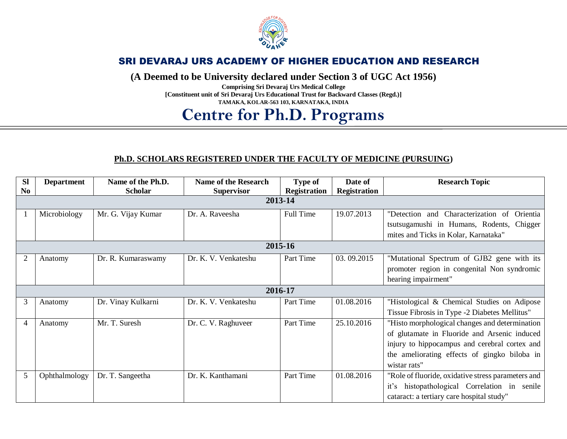

**(A Deemed to be University declared under Section 3 of UGC Act 1956)**

**Comprising Sri Devaraj Urs Medical College [Constituent unit of Sri Devaraj Urs Educational Trust for Backward Classes (Regd.)] TAMAKA, KOLAR-563 103, KARNATAKA, INDIA**

### **Centre for Ph.D. Programs**

#### **Ph.D. SCHOLARS REGISTERED UNDER THE FACULTY OF MEDICINE (PURSUING)**

| <b>SI</b>      | <b>Department</b> | Name of the Ph.D.  | <b>Name of the Research</b> | Type of             | Date of             | <b>Research Topic</b>                              |  |  |
|----------------|-------------------|--------------------|-----------------------------|---------------------|---------------------|----------------------------------------------------|--|--|
| N <sub>0</sub> |                   | <b>Scholar</b>     | <b>Supervisor</b>           | <b>Registration</b> | <b>Registration</b> |                                                    |  |  |
|                | 2013-14           |                    |                             |                     |                     |                                                    |  |  |
|                | Microbiology      | Mr. G. Vijay Kumar | Dr. A. Raveesha             | Full Time           | 19.07.2013          | "Detection and Characterization of<br>Orientia     |  |  |
|                |                   |                    |                             |                     |                     | tsutsugamushi in Humans, Rodents, Chigger          |  |  |
|                |                   |                    |                             |                     |                     | mites and Ticks in Kolar, Karnataka"               |  |  |
|                | 2015-16           |                    |                             |                     |                     |                                                    |  |  |
|                | Anatomy           | Dr. R. Kumaraswamy | Dr. K. V. Venkateshu        | Part Time           | 03.09.2015          | "Mutational Spectrum of GJB2 gene with its         |  |  |
|                |                   |                    |                             |                     |                     | promoter region in congenital Non syndromic        |  |  |
|                |                   |                    |                             |                     |                     | hearing impairment"                                |  |  |
|                | 2016-17           |                    |                             |                     |                     |                                                    |  |  |
| 3              | Anatomy           | Dr. Vinay Kulkarni | Dr. K. V. Venkateshu        | Part Time           | 01.08.2016          | "Histological & Chemical Studies on Adipose        |  |  |
|                |                   |                    |                             |                     |                     | Tissue Fibrosis in Type -2 Diabetes Mellitus"      |  |  |
| $\overline{4}$ | Anatomy           | Mr. T. Suresh      | Dr. C. V. Raghuveer         | Part Time           | 25.10.2016          | "Histo morphological changes and determination     |  |  |
|                |                   |                    |                             |                     |                     | of glutamate in Fluoride and Arsenic induced       |  |  |
|                |                   |                    |                             |                     |                     | injury to hippocampus and cerebral cortex and      |  |  |
|                |                   |                    |                             |                     |                     | the ameliorating effects of gingko biloba in       |  |  |
|                |                   |                    |                             |                     |                     | wistar rats"                                       |  |  |
| 5              | Ophthalmology     | Dr. T. Sangeetha   | Dr. K. Kanthamani           | Part Time           | 01.08.2016          | "Role of fluoride, oxidative stress parameters and |  |  |
|                |                   |                    |                             |                     |                     | it's histopathological Correlation in senile       |  |  |
|                |                   |                    |                             |                     |                     | cataract: a tertiary care hospital study"          |  |  |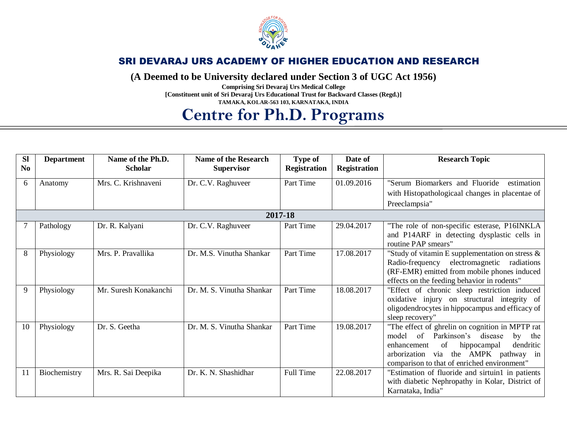

**(A Deemed to be University declared under Section 3 of UGC Act 1956)**

**Comprising Sri Devaraj Urs Medical College [Constituent unit of Sri Devaraj Urs Educational Trust for Backward Classes (Regd.)] TAMAKA, KOLAR-563 103, KARNATAKA, INDIA**

# **Centre for Ph.D. Programs**

| <b>SI</b><br>N <sub>0</sub> | <b>Department</b> | Name of the Ph.D.<br><b>Scholar</b> | <b>Name of the Research</b><br><b>Supervisor</b> | Type of<br><b>Registration</b> | Date of<br><b>Registration</b> | <b>Research Topic</b>                                                                                                                                                                                                                      |  |
|-----------------------------|-------------------|-------------------------------------|--------------------------------------------------|--------------------------------|--------------------------------|--------------------------------------------------------------------------------------------------------------------------------------------------------------------------------------------------------------------------------------------|--|
| 6                           | Anatomy           | Mrs. C. Krishnaveni                 | Dr. C.V. Raghuveer                               | Part Time                      | 01.09.2016                     | "Serum Biomarkers and Fluoride<br>estimation                                                                                                                                                                                               |  |
|                             |                   |                                     |                                                  |                                |                                | with Histopathologicaal changes in placentae of                                                                                                                                                                                            |  |
|                             |                   |                                     |                                                  |                                |                                | Preeclampsia"                                                                                                                                                                                                                              |  |
|                             | 2017-18           |                                     |                                                  |                                |                                |                                                                                                                                                                                                                                            |  |
|                             | Pathology         | Dr. R. Kalyani                      | Dr. C.V. Raghuveer                               | Part Time                      | 29.04.2017                     | "The role of non-specific esterase, P16INKLA<br>and P14ARF in detecting dysplastic cells in<br>routine PAP smears"                                                                                                                         |  |
| 8                           | Physiology        | Mrs. P. Pravallika                  | Dr. M.S. Vinutha Shankar                         | Part Time                      | 17.08.2017                     | "Study of vitamin E supplementation on stress $\&$<br>electromagnetic radiations<br>Radio-frequency<br>(RF-EMR) emitted from mobile phones induced<br>effects on the feeding behavior in rodents"                                          |  |
| 9                           | Physiology        | Mr. Suresh Konakanchi               | Dr. M. S. Vinutha Shankar                        | Part Time                      | 18.08.2017                     | "Effect of chronic sleep restriction induced<br>oxidative injury on structural integrity of<br>oligodendrocytes in hippocampus and efficacy of<br>sleep recovery"                                                                          |  |
| 10                          | Physiology        | Dr. S. Geetha                       | Dr. M. S. Vinutha Shankar                        | Part Time                      | 19.08.2017                     | "The effect of ghrelin on cognition in MPTP rat<br>Parkinson's disease<br>of<br>model<br>by<br>the<br>hippocampal<br>of<br>dendritic<br>enhancement<br>arborization via the AMPK pathway in<br>comparison to that of enriched environment" |  |
| 11                          | Biochemistry      | Mrs. R. Sai Deepika                 | Dr. K. N. Shashidhar                             | Full Time                      | 22.08.2017                     | "Estimation of fluoride and sirtuin1 in patients<br>with diabetic Nephropathy in Kolar, District of<br>Karnataka, India"                                                                                                                   |  |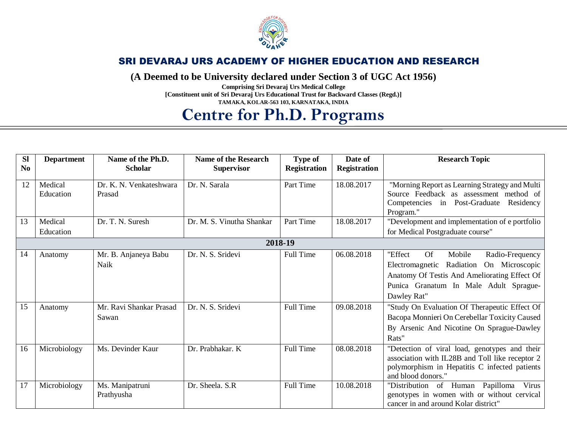

**(A Deemed to be University declared under Section 3 of UGC Act 1956)**

**Comprising Sri Devaraj Urs Medical College [Constituent unit of Sri Devaraj Urs Educational Trust for Backward Classes (Regd.)] TAMAKA, KOLAR-563 103, KARNATAKA, INDIA**

# **Centre for Ph.D. Programs**

| <b>SI</b>      | <b>Department</b>    | Name of the Ph.D.                 | <b>Name of the Research</b> | <b>Type of</b>      | Date of             | <b>Research Topic</b>                                                                                                                                                                                     |  |
|----------------|----------------------|-----------------------------------|-----------------------------|---------------------|---------------------|-----------------------------------------------------------------------------------------------------------------------------------------------------------------------------------------------------------|--|
| N <sub>0</sub> |                      | <b>Scholar</b>                    | <b>Supervisor</b>           | <b>Registration</b> | <b>Registration</b> |                                                                                                                                                                                                           |  |
| 12             | Medical<br>Education | Dr. K. N. Venkateshwara<br>Prasad | Dr. N. Sarala               | Part Time           | 18.08.2017          | "Morning Report as Learning Strategy and Multi<br>Source Feedback as assessment method of<br>Competencies in Post-Graduate<br>Residency<br>Program."                                                      |  |
| 13             | Medical<br>Education | Dr. T. N. Suresh                  | Dr. M. S. Vinutha Shankar   | Part Time           | 18.08.2017          | "Development and implementation of e portfolio<br>for Medical Postgraduate course"                                                                                                                        |  |
|                | 2018-19              |                                   |                             |                     |                     |                                                                                                                                                                                                           |  |
| 14             | Anatomy              | Mr. B. Anjaneya Babu<br>Naik      | Dr. N. S. Sridevi           | Full Time           | 06.08.2018          | "Effect<br><b>Of</b><br>Mobile<br>Radio-Frequency<br>Electromagnetic Radiation<br>On Microscopic<br>Anatomy Of Testis And Ameliorating Effect Of<br>Punica Granatum In Male Adult Sprague-<br>Dawley Rat" |  |
| 15             | Anatomy              | Mr. Ravi Shankar Prasad<br>Sawan  | Dr. N. S. Sridevi           | Full Time           | 09.08.2018          | "Study On Evaluation Of Therapeutic Effect Of<br>Bacopa Monnieri On Cerebellar Toxicity Caused<br>By Arsenic And Nicotine On Sprague-Dawley<br>Rats"                                                      |  |
| 16             | Microbiology         | Ms. Devinder Kaur                 | Dr. Prabhakar. K            | Full Time           | 08.08.2018          | "Detection of viral load, genotypes and their<br>association with IL28B and Toll like receptor 2<br>polymorphism in Hepatitis C infected patients<br>and blood donors."                                   |  |
| 17             | Microbiology         | Ms. Manipatruni<br>Prathyusha     | Dr. Sheela. S.R             | Full Time           | 10.08.2018          | "Distribution of Human<br>Papilloma<br>Virus<br>genotypes in women with or without cervical<br>cancer in and around Kolar district"                                                                       |  |